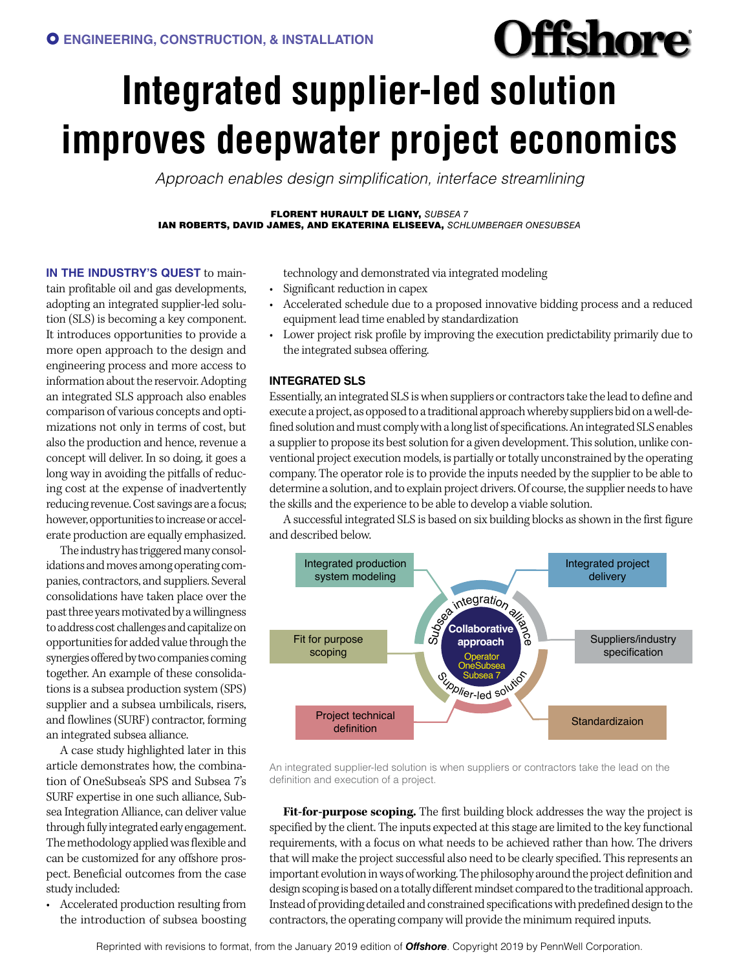# **Offshore Integrated supplier-led solution improves deepwater project economics**

*Approach enables design simplification, interface streamlining*

FLORENT HURAULT DE LIGNY, *SUBSEA 7* IAN ROBERTS, DAVID JAMES, AND EKATERINA ELISEEVA, *SCHLUMBERGER ONESUBSEA*

**IN THE INDUSTRY'S QUEST** to main-

tain profitable oil and gas developments, adopting an integrated supplier-led solution (SLS) is becoming a key component. It introduces opportunities to provide a more open approach to the design and engineering process and more access to information about the reservoir. Adopting an integrated SLS approach also enables comparison of various concepts and optimizations not only in terms of cost, but also the production and hence, revenue a concept will deliver. In so doing, it goes a long way in avoiding the pitfalls of reducing cost at the expense of inadvertently reducing revenue. Cost savings are a focus; however, opportunities to increase or accelerate production are equally emphasized.

The industry has triggered many consolidations and moves among operating companies, contractors, and suppliers. Several consolidations have taken place over the past three years motivated by a willingness to address cost challenges and capitalize on opportunities for added value through the synergies offered by two companies coming together. An example of these consolidations is a subsea production system (SPS) supplier and a subsea umbilicals, risers, and flowlines (SURF) contractor, forming an integrated subsea alliance.

A case study highlighted later in this article demonstrates how, the combination of OneSubsea's SPS and Subsea 7's SURF expertise in one such alliance, Subsea Integration Alliance, can deliver value through fully integrated early engagement. The methodology applied was flexible and can be customized for any offshore prospect. Beneficial outcomes from the case study included:

• Accelerated production resulting from the introduction of subsea boosting technology and demonstrated via integrated modeling

- Significant reduction in capex
- Accelerated schedule due to a proposed innovative bidding process and a reduced equipment lead time enabled by standardization
- Lower project risk profile by improving the execution predictability primarily due to the integrated subsea offering.

## **INTEGRATED SLS**

Essentially, an integrated SLS is when suppliers or contractors take the lead to define and execute a project, as opposed to a traditional approach whereby suppliers bid on a well-defined solution and must comply with a long list of specifications. An integrated SLS enables a supplier to propose its best solution for a given development. This solution, unlike conventional project execution models, is partially or totally unconstrained by the operating company. The operator role is to provide the inputs needed by the supplier to be able to determine a solution, and to explain project drivers. Of course, the supplier needs to have the skills and the experience to be able to develop a viable solution.

A successful integrated SLS is based on six building blocks as shown in the first figure and described below.



An integrated supplier-led solution is when suppliers or contractors take the lead on the definition and execution of a project.

**Fit-for-purpose scoping.** The first building block addresses the way the project is specified by the client. The inputs expected at this stage are limited to the key functional requirements, with a focus on what needs to be achieved rather than how. The drivers that will make the project successful also need to be clearly specified. This represents an important evolution in ways of working. The philosophy around the project definition and design scoping is based on a totally different mindset compared to the traditional approach. Instead of providing detailed and constrained specifications with predefined design to the contractors, the operating company will provide the minimum required inputs.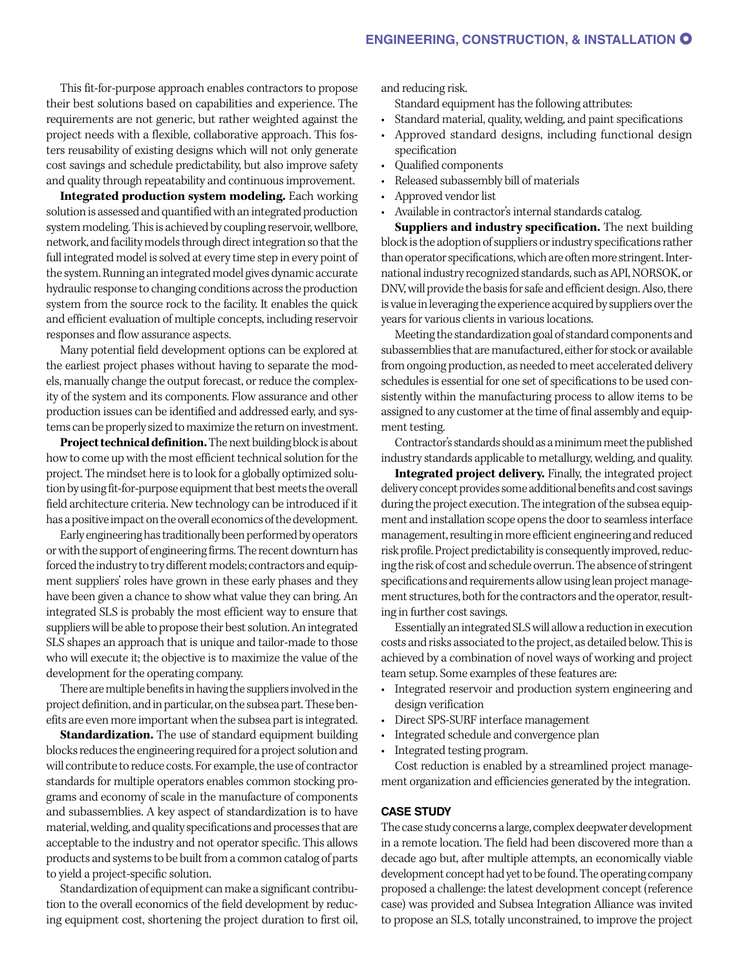This fit-for-purpose approach enables contractors to propose their best solutions based on capabilities and experience. The requirements are not generic, but rather weighted against the project needs with a flexible, collaborative approach. This fosters reusability of existing designs which will not only generate cost savings and schedule predictability, but also improve safety and quality through repeatability and continuous improvement.

**Integrated production system modeling.** Each working solution is assessed and quantified with an integrated production system modeling. This is achieved by coupling reservoir, wellbore, network, and facility models through direct integration so that the full integrated model is solved at every time step in every point of the system. Running an integrated model gives dynamic accurate hydraulic response to changing conditions across the production system from the source rock to the facility. It enables the quick and efficient evaluation of multiple concepts, including reservoir responses and flow assurance aspects.

Many potential field development options can be explored at the earliest project phases without having to separate the models, manually change the output forecast, or reduce the complexity of the system and its components. Flow assurance and other production issues can be identified and addressed early, and systems can be properly sized to maximize the return on investment.

**Project technical definition.** The next building block is about how to come up with the most efficient technical solution for the project. The mindset here is to look for a globally optimized solution by using fit-for-purpose equipment that best meets the overall field architecture criteria. New technology can be introduced if it has a positive impact on the overall economics of the development.

Early engineering has traditionally been performed by operators or with the support of engineering firms. The recent downturn has forced the industry to try different models; contractors and equipment suppliers' roles have grown in these early phases and they have been given a chance to show what value they can bring. An integrated SLS is probably the most efficient way to ensure that suppliers will be able to propose their best solution. An integrated SLS shapes an approach that is unique and tailor-made to those who will execute it; the objective is to maximize the value of the development for the operating company.

There are multiple benefits in having the suppliers involved in the project definition, and in particular, on the subsea part. These benefits are even more important when the subsea part is integrated.

**Standardization.** The use of standard equipment building blocks reduces the engineering required for a project solution and will contribute to reduce costs. For example, the use of contractor standards for multiple operators enables common stocking programs and economy of scale in the manufacture of components and subassemblies. A key aspect of standardization is to have material, welding, and quality specifications and processes that are acceptable to the industry and not operator specific. This allows products and systems to be built from a common catalog of parts to yield a project-specific solution.

Standardization of equipment can make a significant contribution to the overall economics of the field development by reducing equipment cost, shortening the project duration to first oil, and reducing risk.

- Standard equipment has the following attributes:
- Standard material, quality, welding, and paint specifications
- Approved standard designs, including functional design specification
- Qualified components
- Released subassembly bill of materials
- Approved vendor list
- Available in contractor's internal standards catalog.

**Suppliers and industry specification.** The next building block is the adoption of suppliers or industry specifications rather than operator specifications, which are often more stringent. International industry recognized standards, such as API, NORSOK, or DNV, will provide the basis for safe and efficient design. Also, there is value in leveraging the experience acquired by suppliers over the years for various clients in various locations.

Meeting the standardization goal of standard components and subassemblies that are manufactured, either for stock or available from ongoing production, as needed to meet accelerated delivery schedules is essential for one set of specifications to be used consistently within the manufacturing process to allow items to be assigned to any customer at the time of final assembly and equipment testing.

Contractor's standards should as a minimum meet the published industry standards applicable to metallurgy, welding, and quality.

**Integrated project delivery.** Finally, the integrated project delivery concept provides some additional benefits and cost savings during the project execution. The integration of the subsea equipment and installation scope opens the door to seamless interface management, resulting in more efficient engineering and reduced risk profile. Project predictability is consequently improved, reducing the risk of cost and schedule overrun. The absence of stringent specifications and requirements allow using lean project management structures, both for the contractors and the operator, resulting in further cost savings.

Essentially an integrated SLS will allow a reduction in execution costs and risks associated to the project, as detailed below. This is achieved by a combination of novel ways of working and project team setup. Some examples of these features are:

- Integrated reservoir and production system engineering and design verification
- Direct SPS-SURF interface management
- Integrated schedule and convergence plan
- Integrated testing program.

Cost reduction is enabled by a streamlined project management organization and efficiencies generated by the integration.

#### **CASE STUDY**

The case study concerns a large, complex deepwater development in a remote location. The field had been discovered more than a decade ago but, after multiple attempts, an economically viable development concept had yet to be found. The operating company proposed a challenge: the latest development concept (reference case) was provided and Subsea Integration Alliance was invited to propose an SLS, totally unconstrained, to improve the project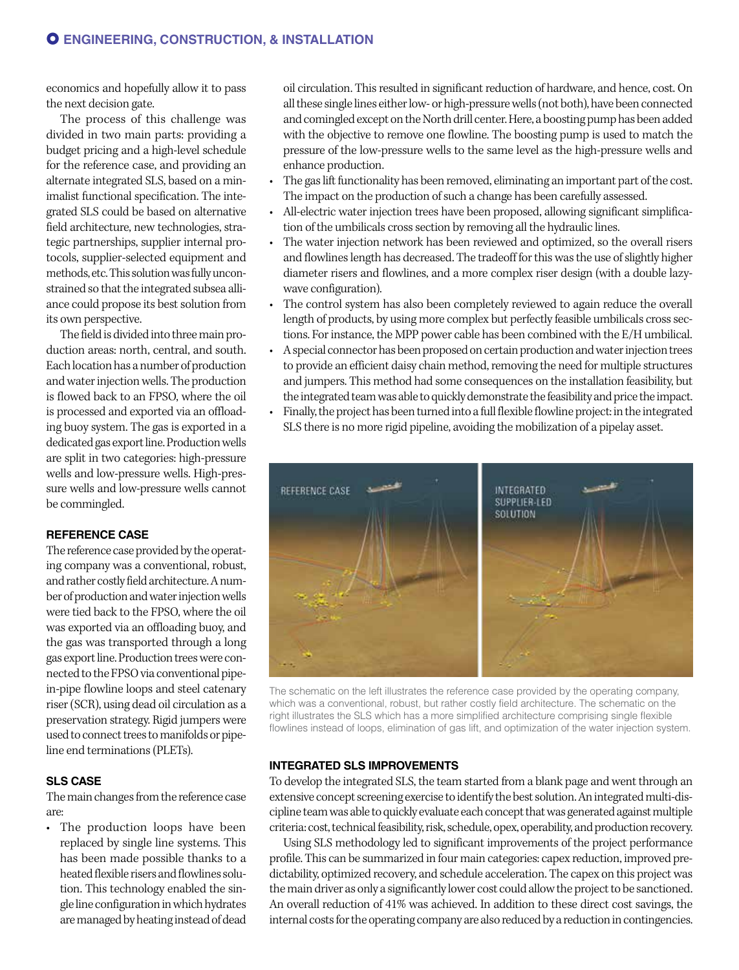economics and hopefully allow it to pass the next decision gate.

The process of this challenge was divided in two main parts: providing a budget pricing and a high-level schedule for the reference case, and providing an alternate integrated SLS, based on a minimalist functional specification. The integrated SLS could be based on alternative field architecture, new technologies, strategic partnerships, supplier internal protocols, supplier-selected equipment and methods, etc. This solution was fully unconstrained so that the integrated subsea alliance could propose its best solution from its own perspective.

The field is divided into three main production areas: north, central, and south. Each location has a number of production and water injection wells. The production is flowed back to an FPSO, where the oil is processed and exported via an offloading buoy system. The gas is exported in a dedicated gas export line. Production wells are split in two categories: high-pressure wells and low-pressure wells. High-pressure wells and low-pressure wells cannot be commingled.

## **REFERENCE CASE**

The reference case provided by the operating company was a conventional, robust, and rather costly field architecture. A number of production and water injection wells were tied back to the FPSO, where the oil was exported via an offloading buoy, and the gas was transported through a long gas export line. Production trees were connected to the FPSO via conventional pipein-pipe flowline loops and steel catenary riser (SCR), using dead oil circulation as a preservation strategy. Rigid jumpers were used to connect trees to manifolds or pipeline end terminations (PLETs).

# **SLS CASE**

The main changes from the reference case are:

• The production loops have been replaced by single line systems. This has been made possible thanks to a heated flexible risers and flowlines solution. This technology enabled the single line configuration in which hydrates are managed by heating instead of dead oil circulation. This resulted in significant reduction of hardware, and hence, cost. On all these single lines either low- or high-pressure wells (not both), have been connected and comingled except on the North drill center. Here, a boosting pump has been added with the objective to remove one flowline. The boosting pump is used to match the pressure of the low-pressure wells to the same level as the high-pressure wells and enhance production.

- The gas lift functionality has been removed, eliminating an important part of the cost. The impact on the production of such a change has been carefully assessed.
- All-electric water injection trees have been proposed, allowing significant simplification of the umbilicals cross section by removing all the hydraulic lines.
- The water injection network has been reviewed and optimized, so the overall risers and flowlines length has decreased. The tradeoff for this was the use of slightly higher diameter risers and flowlines, and a more complex riser design (with a double lazywave configuration).
- The control system has also been completely reviewed to again reduce the overall length of products, by using more complex but perfectly feasible umbilicals cross sections. For instance, the MPP power cable has been combined with the E/H umbilical.
- A special connector has been proposed on certain production and water injection trees to provide an efficient daisy chain method, removing the need for multiple structures and jumpers. This method had some consequences on the installation feasibility, but the integrated team was able to quickly demonstrate the feasibility and price the impact.
- Finally, the project has been turned into a full flexible flowline project: in the integrated SLS there is no more rigid pipeline, avoiding the mobilization of a pipelay asset.



The schematic on the left illustrates the reference case provided by the operating company, which was a conventional, robust, but rather costly field architecture. The schematic on the right illustrates the SLS which has a more simplified architecture comprising single flexible flowlines instead of loops, elimination of gas lift, and optimization of the water injection system.

#### **INTEGRATED SLS IMPROVEMENTS**

To develop the integrated SLS, the team started from a blank page and went through an extensive concept screening exercise to identify the best solution. An integrated multi-discipline team was able to quickly evaluate each concept that was generated against multiple criteria: cost, technical feasibility, risk, schedule, opex, operability, and production recovery.

Using SLS methodology led to significant improvements of the project performance profile. This can be summarized in four main categories: capex reduction, improved predictability, optimized recovery, and schedule acceleration. The capex on this project was the main driver as only a significantly lower cost could allow the project to be sanctioned. An overall reduction of 41% was achieved. In addition to these direct cost savings, the internal costs for the operating company are also reduced by a reduction in contingencies.